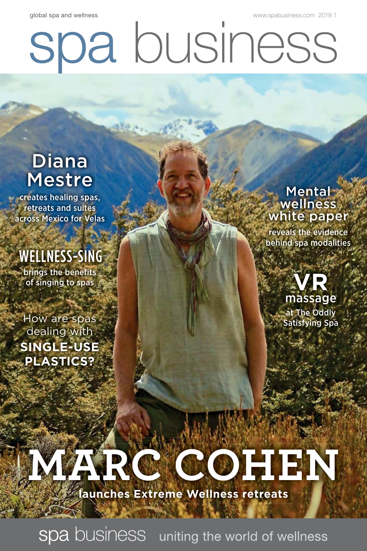global spa and wellness [www.spabusiness.com 2](http://www.spabusiness.com)019 1

# spa business

## Diana Mestre

creates healing spas, retreats and suites across Mexico for Velas

# WELLNESS-SING

brings the benefits of singing to spas

How are spas dealing with **SINGLE-USE PLASTICS?**

**Mental** wellness white paper reveals the evidence behind spa modalities

> **VR** massage at The Oddly Satisfying Spa

# **MARC COHEN launches Extreme Wellness retreats**

spa business uniting the world of wellness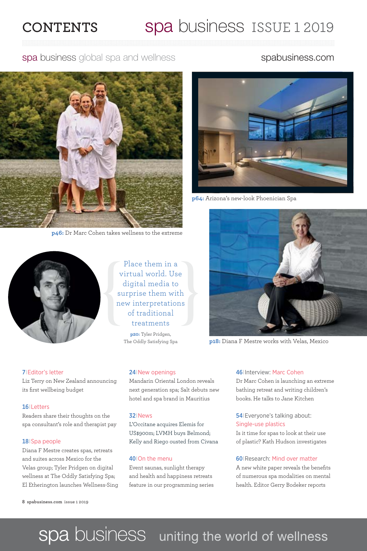### **CONTENTS** Spa business ISSUE 1 2019

spa business global spa and wellness spabusiness.com



**p46:** Dr Marc Cohen takes wellness to the extreme



Place them in a virtual world. Use digital media to surprise them with new interpretations of traditional treatments **p20:** Tyler Pridgen, The Oddly Satisfying Spa



**p64:** Arizona's new-look Phoenician Spa



**p18:** Diana F Mestre works with Velas, Mexico

#### 7<sup>|</sup>Editor's letter

Liz Terry on New Zealand announcing its first wellbeing budget

#### 16<sup>|</sup>Letters

Readers share their thoughts on the spa consultant's role and therapist pay

#### 18<sup>|</sup>Spa people

Diana F Mestre creates spas, retreats and suites across Mexico for the Velas group; Tyler Pridgen on digital wellness at The Oddly Satisfying Spa; El Etherington launches Wellness-Sing

**8 spabusiness.com** issue 1 2019

#### 24<sup>|</sup>New openings

Mandarin Oriental London reveals next generation spa; Salt debuts new hotel and spa brand in Mauritius

#### 32<sup>|</sup>News

L'Occitane acquires Elemis for US\$900m; LVMH buys Belmond; Kelly and Riego ousted from Civana

#### 40<sup>|</sup>On the menu

Event saunas, sunlight therapy and health and happiness retreats feature in our programming series

#### 46<sup>|</sup>Interview: Marc Cohen

Dr Marc Cohen is launching an extreme bathing retreat and writing children's books. He talks to Jane Kitchen

#### 54<sup>|</sup>Everyone's talking about: Single-use plastics

Is it time for spas to look at their use of plastic? Kath Hudson investigates

#### 60<sup>|</sup>Research: Mind over matter

A new white paper reveals the benefits of numerous spa modalities on mental health. Editor Gerry Bodeker reports

## spa business uniting the world of wellness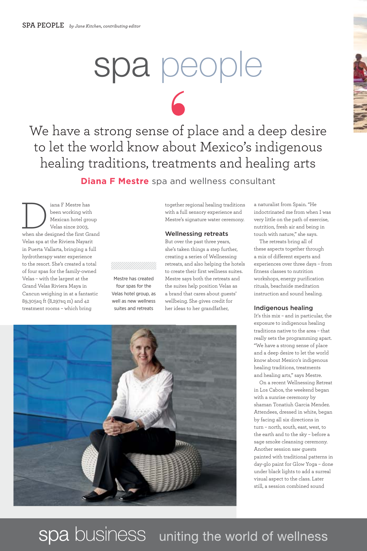# spa people

 $\Gamma$ 

We have a strong sense of place and a deep desire to let the world know about Mexico's indigenous healing traditions, treatments and healing arts

**Diana F Mestre** spa and wellness consultant

 $\fbox{ \emph{1}} \centering \begin{tabular}{c} \hline \textbf{1}} \\ \hline \textbf{2} \\ \textbf{2} \\ \textbf{2} \\ \textbf{2} \\ \textbf{2} \\ \textbf{2} \\ \textbf{2} \\ \textbf{2} \\ \textbf{2} \\ \textbf{2} \\ \textbf{2} \\ \textbf{2} \\ \textbf{2} \\ \textbf{2} \\ \textbf{2} \\ \textbf{2} \\ \textbf{2} \\ \textbf{2} \\ \textbf{2} \\ \textbf{2} \\ \textbf{2} \\ \textbf{2} \\ \textbf{2} \\ \textbf{2} \\ \textbf{2} \\ \textbf{2} \\ \textbf{2}$ been working with Mexican hotel group Velas since 2003, Velas spa at the Riviera Nayarit in Puerta Vallarta, bringing a full hydrotherapy water experience to the resort. She's created a total of four spas for the family-owned Velas – with the largest at the Grand Velas Riviera Maya in Cancun weighing in at a fantastic 89,305sq ft (8,297sq m) and 42 treatment rooms – which bring

together regional healing traditions with a full sensory experience and Mestre's signature water ceremony.

#### Wellnessing retreats

But over the past three years, she's taken things a step further, creating a series of Wellnessing retreats, and also helping the hotels to create their first wellness suites. Mestre says both the retreats and the suites help position Velas as a brand that cares about guests' wellbeing. She gives credit for her ideas to her grandfather,



Mestre has created four spas for the Velas hotel group, as well as new wellness suites and retreats

a naturalist from Spain. "He indoctrinated me from when I was very little on the path of exercise, nutrition, fresh air and being in touch with nature," she says.

The retreats bring all of these aspects together through a mix of different experts and experiences over three days – from fitness classes to nutrition workshops, energy purification rituals, beachside meditation instruction and sound healing.

#### Indigenous healing

It's this mix – and in particular, the exposure to indigenous healing traditions native to the area – that really sets the programming apart. "We have a strong sense of place and a deep desire to let the world know about Mexico's indigenous healing traditions, treatments and healing arts," says Mestre.

On a recent Wellnessing Retreat in Los Cabos, the weekend began with a sunrise ceremony by shaman Tonatiuh Garcia Mendez. Attendees, dressed in white, began by facing all six directions in turn – north, south, east, west, to the earth and to the sky – before a sage smoke cleansing ceremony. Another session saw guests painted with traditional patterns in day-glo paint for Glow Yoga – done under black lights to add a surreal visual aspect to the class. Later still, a session combined sound

spa business uniting the world of wellness